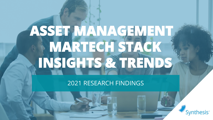# **ASSET MANAGEMENT MARTECH STACK INSIGHTS & TRENDS**

2021 RESEARCH FINDINGS

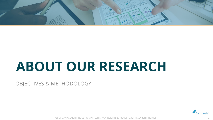

# **ABOUT OUR RESEARCH**

OBJECTIVES & METHODOLOGY

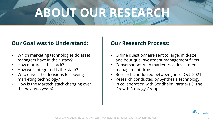# **ABOUT OUR RESEAR**

### **Our Goal was to Understand:**

- Which marketing technologies do asset managers have in their stack?
- How mature is the stack?
- How well-integrated is the stack?
- Who drives the decisions for buying marketing technology?
- How is the Martech stack changing over the next two years?

### **Our Research Process:**

- Online questionnaire sent to large, mid-size and boutique investment management firms
- Conversations with marketers at investment management firms
- Research conducted between June Oct 2021
- Research conducted by Synthesis Technology in collaboration with Sondhelm Partners & The Growth Strategy Group

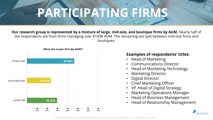# **PARTICIPATING FIRMS**

**Our research group is represented by a mixture of large, mid-size, and boutique firms by AUM.** Nearly half of the respondents are from firms managing over \$100B AUM. The remaining are split between mid-size firms and boutiques.



### **Examples of respondents' titles:**

- Head of Marketing
- Communications Director
- Head of Marketing Technology
- Marketing Director
- Digital Director
- Chief Marketing Officer
- VP, Head of Digital Strategy
- Marketing Operations Manager
- Head of Business Management
- Head of Relationship Management

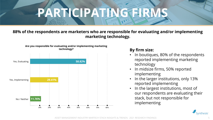# PARTICIPATING FIRM

### **88% of the respondents are marketers who are responsible for evaluating and/or implementing marketing technology.**



**Are you responsible for evaluating and/or implementing marketing** 

### **By firm size:**

- In boutiques, 80% of the respondents reported implementing marketing technology
- In midsize firms, 50% reported implementing
- In the larger institutions, only 13% reported implementing
- In the largest institutions, most of our respondents are evaluating their stack, but not responsible for implementing

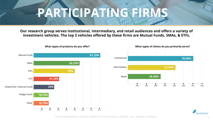# **PARTICIPATING FIRMS**

**Our research group serves institutional, intermediary, and retail audiences and offers a variety of investment vehicles. The top 3 vehicles offered by these firms are Mutual Funds, SMAs, & ETFs.**





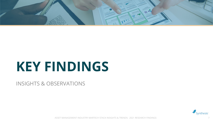

# **KEY FINDINGS**

INSIGHTS & OBSERVATIONS

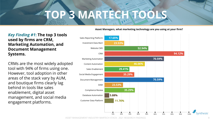### **TOP 3 MARTEC**

### *Key Finding #1***: The top 3 tools used by firms are CRM, Marketing Automation, and Document Management Systems.**

CRMs are the most widely adopted tool with 94% of firms using one. However, tool adoption in other areas of the stack vary by AUM, and boutique firms clearly lag behind in tools like sales enablement, digital asset management, and social media engagement platforms.

**Asset Managers, what marketing technology are you using at your firm?**

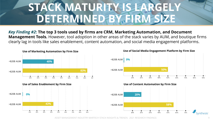## STACK MATURITY IS LARGEL **DETERMINED BY FIRM SIZE**

*Key Finding #2***: The top 3 tools used by firms are CRM, Marketing Automation, and Document Management Tools.** However, tool adoption in other areas of the stack varies by AUM, and boutique firms clearly lag in tools like sales enablement, content automation, and social media engagement platforms.

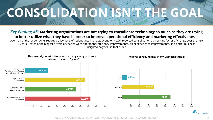# **CONSOLIDATION ISNEATHE GOA**

#### *Key Finding #3***: Marketing organizations are not trying to consolidate technology so much as they are trying to better utilize what they have in order to improve operational efficiency and marketing effectiveness.**

Over half of the respondents reported a low level of redundancy in the stack and only 29% reported consolidation as a driving factor of change over the next 2 years. Instead, the biggest drivers of change were operational efficiency improvements, client experience improvements, and better business insights/analytics - in that order.



**How would you prioritize what's driving changes in your** 



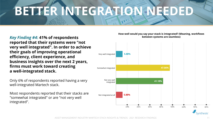# **BETTER INTEGRATION NEEDED**

### *Key Finding #4***: 41% of respondents reported that their systems were "not very well integrated". In order to achieve their goals of improving operational efficiency, client experience, and business insights over the next 2 years, firms must work toward creating a well-integrated stack.**

Only 6% of respondents reported having a very well-integrated Martech stack.

Most respondents reported that their stacks are "somewhat integrated" or are "not very well integrated".

#### **How well would you say your stack is integrated? (Meaning, workflows between systems are seamless)**

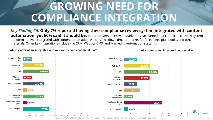### **GROWING NEED** COMPLIANCE INTEGRATI

*Key Finding #5***: Only 7% reported having their compliance review system integrated with content automation, yet 60% said it should be.** In our conversations with Marketers, we learned that compliance review systems are often not well integrated with content automation, which slows down time-to-market for factsheets, pitchbooks, and other materials. Other key integrations include the CRM, Website CMS, and Marketing Automation systems.

Investment Data Mart Website CMS CRM Marketing Automation Sales Enablement DAM Document Management Compliance Review System Something Else **13.33% 33.33% 40.00% 13.33% 33.33% 6.67% 33.33% 6.67% 40.00%**





#### **Which ones aren't integrated but should be?**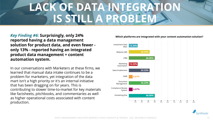### **LACK OF DATA INTEGRATION IS STILL A PROBLEM**

### *Key Finding #6***: Surprisingly, only 24% reported having a data management solution for product data, and even fewer only 13% - reported having an integrated product data management + content automation system.**

In our conversations with Marketers at these firms, we learned that manual data intake continues to be a problem for marketers, yet integration of the data mart isn't a high priority or it's an internal initiative that has been dragging on for years. This is contributing to slower time-to-market for key materials like factsheets, pitchbooks, and commentaries as well as higher operational costs associated with content production.



#### **Which platforms are integrated with your content automation solution?**

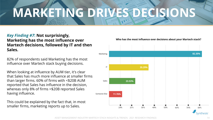# **MARKETING DRIVES DECISIONS**

### *Key Finding #7***: Not surprisingly, Marketing has the most influence over Martech decisions, followed by IT and then Sales.**

82% of respondents said Marketing has the most influence over Martech stack buying decisions.

When looking at influence by AUM tier, it's clear that Sales has much more influence at smaller firms than larger firms. 60% of firms with <\$20B AUM reported that Sales has influence in the decision, whereas only 8% of firms >\$20B reported Sales having influence.

This could be explained by the fact that, in most smaller firms, marketing reports up to Sales.



**Who has the most influence over decisions about your Martech stack?**